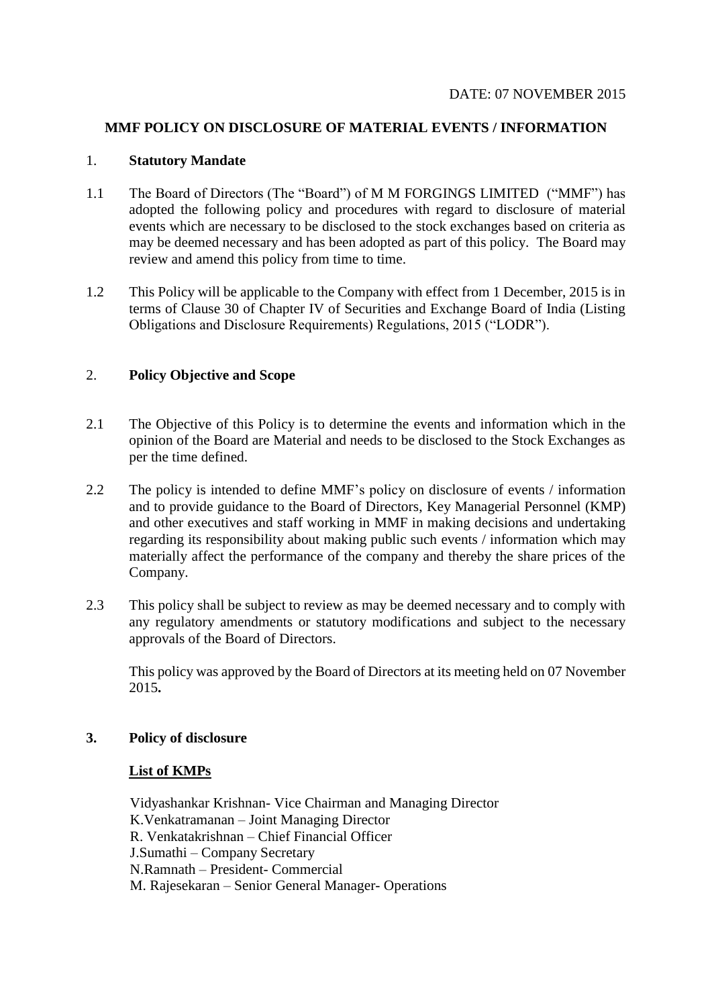#### **MMF POLICY ON DISCLOSURE OF MATERIAL EVENTS / INFORMATION**

#### 1. **Statutory Mandate**

- 1.1 The Board of Directors (The "Board") of M M FORGINGS LIMITED ("MMF") has adopted the following policy and procedures with regard to disclosure of material events which are necessary to be disclosed to the stock exchanges based on criteria as may be deemed necessary and has been adopted as part of this policy. The Board may review and amend this policy from time to time.
- 1.2 This Policy will be applicable to the Company with effect from 1 December, 2015 is in terms of Clause 30 of Chapter IV of Securities and Exchange Board of India (Listing Obligations and Disclosure Requirements) Regulations, 2015 ("LODR").

# 2. **Policy Objective and Scope**

- 2.1 The Objective of this Policy is to determine the events and information which in the opinion of the Board are Material and needs to be disclosed to the Stock Exchanges as per the time defined.
- 2.2 The policy is intended to define MMF's policy on disclosure of events / information and to provide guidance to the Board of Directors, Key Managerial Personnel (KMP) and other executives and staff working in MMF in making decisions and undertaking regarding its responsibility about making public such events / information which may materially affect the performance of the company and thereby the share prices of the Company.
- 2.3 This policy shall be subject to review as may be deemed necessary and to comply with any regulatory amendments or statutory modifications and subject to the necessary approvals of the Board of Directors.

This policy was approved by the Board of Directors at its meeting held on 07 November 2015**.**

## **3. Policy of disclosure**

#### **List of KMPs**

Vidyashankar Krishnan- Vice Chairman and Managing Director K.Venkatramanan – Joint Managing Director R. Venkatakrishnan – Chief Financial Officer J.Sumathi – Company Secretary N.Ramnath – President- Commercial M. Rajesekaran – Senior General Manager- Operations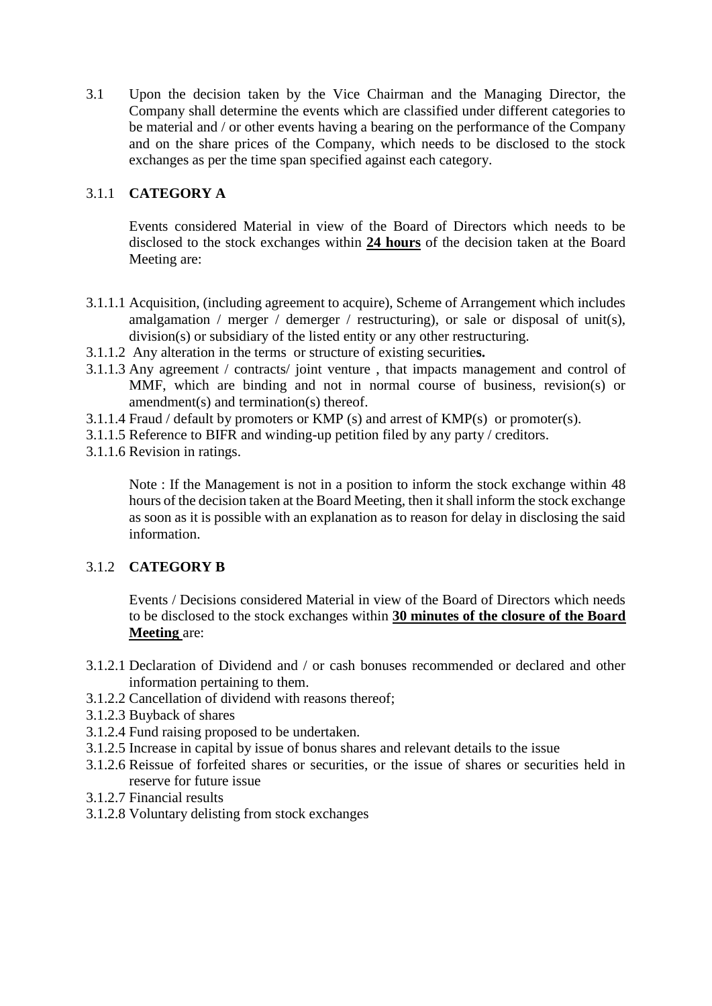3.1 Upon the decision taken by the Vice Chairman and the Managing Director, the Company shall determine the events which are classified under different categories to be material and / or other events having a bearing on the performance of the Company and on the share prices of the Company, which needs to be disclosed to the stock exchanges as per the time span specified against each category.

# 3.1.1 **CATEGORY A**

Events considered Material in view of the Board of Directors which needs to be disclosed to the stock exchanges within **24 hours** of the decision taken at the Board Meeting are:

- 3.1.1.1 Acquisition, (including agreement to acquire), Scheme of Arrangement which includes amalgamation / merger / demerger / restructuring), or sale or disposal of unit(s), division(s) or subsidiary of the listed entity or any other restructuring.
- 3.1.1.2 Any alteration in the terms or structure of existing securitie**s.**
- 3.1.1.3 Any agreement / contracts/ joint venture , that impacts management and control of MMF, which are binding and not in normal course of business, revision(s) or amendment(s) and termination(s) thereof.
- 3.1.1.4 Fraud / default by promoters or KMP (s) and arrest of KMP(s) or promoter(s).
- 3.1.1.5 Reference to BIFR and winding-up petition filed by any party / creditors.
- 3.1.1.6 Revision in ratings.

Note : If the Management is not in a position to inform the stock exchange within 48 hours of the decision taken at the Board Meeting, then it shall inform the stock exchange as soon as it is possible with an explanation as to reason for delay in disclosing the said information.

# 3.1.2 **CATEGORY B**

Events / Decisions considered Material in view of the Board of Directors which needs to be disclosed to the stock exchanges within **30 minutes of the closure of the Board Meeting** are:

- 3.1.2.1 Declaration of Dividend and / or cash bonuses recommended or declared and other information pertaining to them.
- 3.1.2.2 Cancellation of dividend with reasons thereof;
- 3.1.2.3 Buyback of shares
- 3.1.2.4 Fund raising proposed to be undertaken.
- 3.1.2.5 Increase in capital by issue of bonus shares and relevant details to the issue
- 3.1.2.6 Reissue of forfeited shares or securities, or the issue of shares or securities held in reserve for future issue
- 3.1.2.7 Financial results
- 3.1.2.8 Voluntary delisting from stock exchanges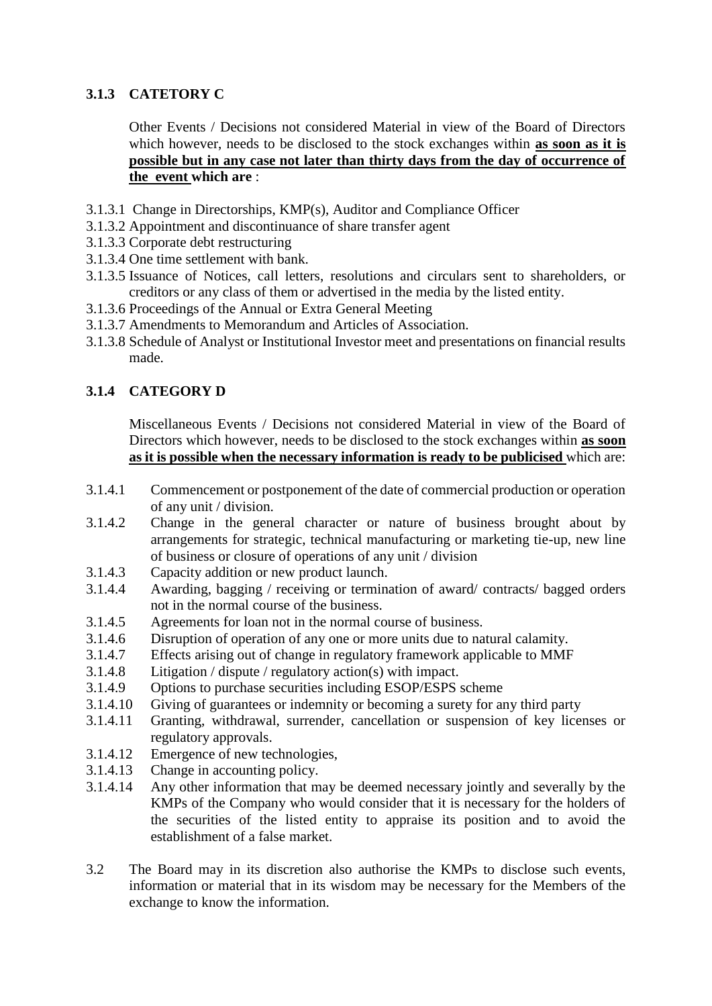# **3.1.3 CATETORY C**

Other Events / Decisions not considered Material in view of the Board of Directors which however, needs to be disclosed to the stock exchanges within **as soon as it is possible but in any case not later than thirty days from the day of occurrence of the event which are** :

- 3.1.3.1 Change in Directorships, KMP(s), Auditor and Compliance Officer
- 3.1.3.2 Appointment and discontinuance of share transfer agent
- 3.1.3.3 Corporate debt restructuring
- 3.1.3.4 One time settlement with bank.
- 3.1.3.5 Issuance of Notices, call letters, resolutions and circulars sent to shareholders, or creditors or any class of them or advertised in the media by the listed entity.
- 3.1.3.6 Proceedings of the Annual or Extra General Meeting
- 3.1.3.7 Amendments to Memorandum and Articles of Association.
- 3.1.3.8 Schedule of Analyst or Institutional Investor meet and presentations on financial results made.

# **3.1.4 CATEGORY D**

Miscellaneous Events / Decisions not considered Material in view of the Board of Directors which however, needs to be disclosed to the stock exchanges within **as soon as it is possible when the necessary information is ready to be publicised** which are:

- 3.1.4.1 Commencement or postponement of the date of commercial production or operation of any unit / division.
- 3.1.4.2 Change in the general character or nature of business brought about by arrangements for strategic, technical manufacturing or marketing tie-up, new line of business or closure of operations of any unit / division
- 3.1.4.3 Capacity addition or new product launch.
- 3.1.4.4 Awarding, bagging / receiving or termination of award/ contracts/ bagged orders not in the normal course of the business.
- 3.1.4.5 Agreements for loan not in the normal course of business.
- 3.1.4.6 Disruption of operation of any one or more units due to natural calamity.
- 3.1.4.7 Effects arising out of change in regulatory framework applicable to MMF
- 3.1.4.8 Litigation / dispute / regulatory action(s) with impact.
- 3.1.4.9 Options to purchase securities including ESOP/ESPS scheme
- 3.1.4.10 Giving of guarantees or indemnity or becoming a surety for any third party
- 3.1.4.11 Granting, withdrawal, surrender, cancellation or suspension of key licenses or regulatory approvals.
- 3.1.4.12 Emergence of new technologies,
- 3.1.4.13 Change in accounting policy.
- 3.1.4.14 Any other information that may be deemed necessary jointly and severally by the KMPs of the Company who would consider that it is necessary for the holders of the securities of the listed entity to appraise its position and to avoid the establishment of a false market.
- 3.2 The Board may in its discretion also authorise the KMPs to disclose such events, information or material that in its wisdom may be necessary for the Members of the exchange to know the information.